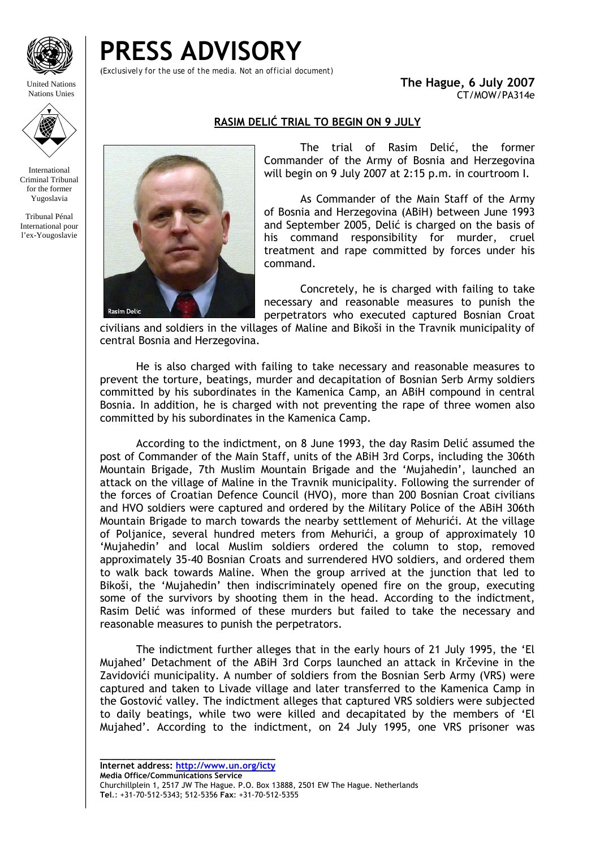

United Nations Nations Unies

**PRESS ADVISORY** 

(*Exclusively for the use of the media. Not an official document)*

**The Hague, 6 July 2007**  CT/MOW/PA314e

## **RASIM DELIĆ TRIAL TO BEGIN ON 9 JULY**

International Criminal Tribunal for the former

Yugoslavia

Tribunal Pénal International pour l'ex-Yougoslavie



 The trial of Rasim Delić, the former Commander of the Army of Bosnia and Herzegovina will begin on 9 July 2007 at 2:15 p.m. in courtroom I.

 As Commander of the Main Staff of the Army of Bosnia and Herzegovina (ABiH) between June 1993 and September 2005, Delić is charged on the basis of his command responsibility for murder, cruel treatment and rape committed by forces under his command.

Concretely, he is charged with failing to take necessary and reasonable measures to punish the perpetrators who executed captured Bosnian Croat

civilians and soldiers in the villages of Maline and Bikoši in the Travnik municipality of central Bosnia and Herzegovina.

 He is also charged with failing to take necessary and reasonable measures to prevent the torture, beatings, murder and decapitation of Bosnian Serb Army soldiers committed by his subordinates in the Kamenica Camp, an ABiH compound in central Bosnia. In addition, he is charged with not preventing the rape of three women also committed by his subordinates in the Kamenica Camp.

 According to the indictment, on 8 June 1993, the day Rasim Delić assumed the post of Commander of the Main Staff, units of the ABiH 3rd Corps, including the 306th Mountain Brigade, 7th Muslim Mountain Brigade and the 'Mujahedin', launched an attack on the village of Maline in the Travnik municipality. Following the surrender of the forces of Croatian Defence Council (HVO), more than 200 Bosnian Croat civilians and HVO soldiers were captured and ordered by the Military Police of the ABiH 306th Mountain Brigade to march towards the nearby settlement of Mehurići. At the village of Poljanice, several hundred meters from Mehurići, a group of approximately 10 'Mujahedin' and local Muslim soldiers ordered the column to stop, removed approximately 35-40 Bosnian Croats and surrendered HVO soldiers, and ordered them to walk back towards Maline. When the group arrived at the junction that led to Bikoši, the 'Mujahedin' then indiscriminately opened fire on the group, executing some of the survivors by shooting them in the head. According to the indictment, Rasim Delić was informed of these murders but failed to take the necessary and reasonable measures to punish the perpetrators.

 The indictment further alleges that in the early hours of 21 July 1995, the 'El Mujahed' Detachment of the ABiH 3rd Corps launched an attack in Krčevine in the Zavidovići municipality. A number of soldiers from the Bosnian Serb Army (VRS) were captured and taken to Livade village and later transferred to the Kamenica Camp in the Gostović valley. The indictment alleges that captured VRS soldiers were subjected to daily beatings, while two were killed and decapitated by the members of 'El Mujahed'. According to the indictment, on 24 July 1995, one VRS prisoner was

**\_\_\_\_\_\_\_\_\_\_\_\_\_\_\_\_\_\_\_\_\_\_\_\_\_\_\_\_\_\_\_\_\_ Internet address: http://www.un.org/icty**

**Media Office/Communications Service**  Churchillplein 1, 2517 JW The Hague. P.O. Box 13888, 2501 EW The Hague. Netherlands **Tel**.: +31-70-512-5343; 512-5356 **Fax**: +31-70-512-5355